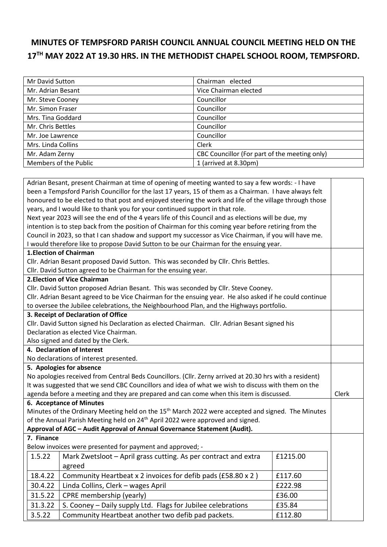## **MINUTES OF TEMPSFORD PARISH COUNCIL ANNUAL COUNCIL MEETING HELD ON THE 17 TH MAY 2022 AT 19.30 HRS. IN THE METHODIST CHAPEL SCHOOL ROOM, TEMPSFORD.**

| Mr David Sutton       | Chairman elected                              |
|-----------------------|-----------------------------------------------|
| Mr. Adrian Besant     | Vice Chairman elected                         |
| Mr. Steve Cooney      | Councillor                                    |
| Mr. Simon Fraser      | Councillor                                    |
| Mrs. Tina Goddard     | Councillor                                    |
| Mr. Chris Bettles     | Councillor                                    |
| Mr. Joe Lawrence      | Councillor                                    |
| Mrs. Linda Collins    | Clerk                                         |
| Mr. Adam Zerny        | CBC Councillor (For part of the meeting only) |
| Members of the Public | 1 (arrived at 8.30pm)                         |

| Adrian Besant, present Chairman at time of opening of meeting wanted to say a few words: - I have       |            |                                                                                                               |          |  |  |
|---------------------------------------------------------------------------------------------------------|------------|---------------------------------------------------------------------------------------------------------------|----------|--|--|
| been a Tempsford Parish Councillor for the last 17 years, 15 of them as a Chairman. I have always felt  |            |                                                                                                               |          |  |  |
| honoured to be elected to that post and enjoyed steering the work and life of the village through those |            |                                                                                                               |          |  |  |
| years, and I would like to thank you for your continued support in that role.                           |            |                                                                                                               |          |  |  |
|                                                                                                         |            | Next year 2023 will see the end of the 4 years life of this Council and as elections will be due, my          |          |  |  |
|                                                                                                         |            | intention is to step back from the position of Chairman for this coming year before retiring from the         |          |  |  |
|                                                                                                         |            | Council in 2023, so that I can shadow and support my successor as Vice Chairman, if you will have me.         |          |  |  |
|                                                                                                         |            | I would therefore like to propose David Sutton to be our Chairman for the ensuing year.                       |          |  |  |
| 1. Election of Chairman                                                                                 |            |                                                                                                               |          |  |  |
| Cllr. Adrian Besant proposed David Sutton. This was seconded by Cllr. Chris Bettles.                    |            |                                                                                                               |          |  |  |
| Cllr. David Sutton agreed to be Chairman for the ensuing year.                                          |            |                                                                                                               |          |  |  |
|                                                                                                         |            | 2. Election of Vice Chairman                                                                                  |          |  |  |
| Cllr. David Sutton proposed Adrian Besant. This was seconded by Cllr. Steve Cooney.                     |            |                                                                                                               |          |  |  |
| Cllr. Adrian Besant agreed to be Vice Chairman for the ensuing year. He also asked if he could continue |            |                                                                                                               |          |  |  |
|                                                                                                         |            | to oversee the Jubilee celebrations, the Neighbourhood Plan, and the Highways portfolio.                      |          |  |  |
|                                                                                                         |            | 3. Receipt of Declaration of Office                                                                           |          |  |  |
| Cllr. David Sutton signed his Declaration as elected Chairman. Cllr. Adrian Besant signed his           |            |                                                                                                               |          |  |  |
|                                                                                                         |            | Declaration as elected Vice Chairman.                                                                         |          |  |  |
| Also signed and dated by the Clerk.                                                                     |            |                                                                                                               |          |  |  |
| 4. Declaration of Interest                                                                              |            |                                                                                                               |          |  |  |
| No declarations of interest presented.                                                                  |            |                                                                                                               |          |  |  |
| 5. Apologies for absence                                                                                |            |                                                                                                               |          |  |  |
| No apologies received from Central Beds Councillors. (Cllr. Zerny arrived at 20.30 hrs with a resident) |            |                                                                                                               |          |  |  |
|                                                                                                         |            | It was suggested that we send CBC Councillors and idea of what we wish to discuss with them on the            |          |  |  |
| agenda before a meeting and they are prepared and can come when this item is discussed.                 |            |                                                                                                               | Clerk    |  |  |
|                                                                                                         |            | 6. Acceptance of Minutes                                                                                      |          |  |  |
|                                                                                                         |            | Minutes of the Ordinary Meeting held on the 15 <sup>th</sup> March 2022 were accepted and signed. The Minutes |          |  |  |
| of the Annual Parish Meeting held on 24 <sup>th</sup> April 2022 were approved and signed.              |            |                                                                                                               |          |  |  |
| Approval of AGC - Audit Approval of Annual Governance Statement (Audit).                                |            |                                                                                                               |          |  |  |
|                                                                                                         | 7. Finance |                                                                                                               |          |  |  |
|                                                                                                         |            | Below invoices were presented for payment and approved; -                                                     |          |  |  |
|                                                                                                         | 1.5.22     | Mark Zwetsloot - April grass cutting. As per contract and extra                                               | £1215.00 |  |  |
|                                                                                                         |            | agreed                                                                                                        |          |  |  |
|                                                                                                         | 18.4.22    | Community Heartbeat x 2 invoices for defib pads (£58.80 x 2)                                                  | £117.60  |  |  |
|                                                                                                         | 30.4.22    | Linda Collins, Clerk - wages April                                                                            | £222.98  |  |  |
|                                                                                                         | 31.5.22    | CPRE membership (yearly)                                                                                      | £36.00   |  |  |
|                                                                                                         | 31.3.22    | S. Cooney - Daily supply Ltd. Flags for Jubilee celebrations                                                  | £35.84   |  |  |
|                                                                                                         | 3.5.22     | Community Heartbeat another two defib pad packets.                                                            | £112.80  |  |  |
|                                                                                                         |            |                                                                                                               |          |  |  |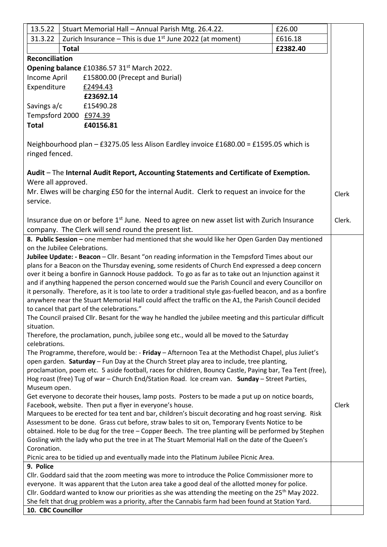|                                                                                                                                                                                                          | 13.5.22               | Stuart Memorial Hall - Annual Parish Mtg. 26.4.22.                                                                             | £26.00   |        |  |
|----------------------------------------------------------------------------------------------------------------------------------------------------------------------------------------------------------|-----------------------|--------------------------------------------------------------------------------------------------------------------------------|----------|--------|--|
|                                                                                                                                                                                                          | 31.3.22               | Zurich Insurance - This is due $1st$ June 2022 (at moment)                                                                     | £616.18  |        |  |
|                                                                                                                                                                                                          |                       | <b>Total</b>                                                                                                                   | £2382.40 |        |  |
|                                                                                                                                                                                                          | <b>Reconciliation</b> |                                                                                                                                |          |        |  |
| Opening balance £10386.57 31 <sup>st</sup> March 2022.                                                                                                                                                   |                       |                                                                                                                                |          |        |  |
|                                                                                                                                                                                                          | Income April          | £15800.00 (Precept and Burial)                                                                                                 |          |        |  |
|                                                                                                                                                                                                          | Expenditure           | £2494.43                                                                                                                       |          |        |  |
|                                                                                                                                                                                                          |                       | £23692.14                                                                                                                      |          |        |  |
|                                                                                                                                                                                                          | Savings a/c           | £15490.28                                                                                                                      |          |        |  |
|                                                                                                                                                                                                          |                       | Tempsford 2000 £974.39                                                                                                         |          |        |  |
|                                                                                                                                                                                                          | <b>Total</b>          | £40156.81                                                                                                                      |          |        |  |
|                                                                                                                                                                                                          |                       |                                                                                                                                |          |        |  |
| Neighbourhood plan - £3275.05 less Alison Eardley invoice £1680.00 = £1595.05 which is<br>ringed fenced.                                                                                                 |                       |                                                                                                                                |          |        |  |
| Audit - The Internal Audit Report, Accounting Statements and Certificate of Exemption.<br>Were all approved.                                                                                             |                       |                                                                                                                                |          |        |  |
|                                                                                                                                                                                                          |                       |                                                                                                                                |          |        |  |
|                                                                                                                                                                                                          |                       | Mr. Elwes will be charging £50 for the internal Audit. Clerk to request an invoice for the                                     |          | Clerk  |  |
|                                                                                                                                                                                                          | service.              |                                                                                                                                |          |        |  |
|                                                                                                                                                                                                          |                       |                                                                                                                                |          |        |  |
|                                                                                                                                                                                                          |                       | Insurance due on or before 1 <sup>st</sup> June. Need to agree on new asset list with Zurich Insurance                         |          | Clerk. |  |
|                                                                                                                                                                                                          |                       | company. The Clerk will send round the present list.                                                                           |          |        |  |
|                                                                                                                                                                                                          |                       | 8. Public Session - one member had mentioned that she would like her Open Garden Day mentioned<br>on the Jubilee Celebrations. |          |        |  |
|                                                                                                                                                                                                          |                       |                                                                                                                                |          |        |  |
| Jubilee Update: - Beacon - Cllr. Besant "on reading information in the Tempsford Times about our<br>plans for a Beacon on the Thursday evening, some residents of Church End expressed a deep concern    |                       |                                                                                                                                |          |        |  |
| over it being a bonfire in Gannock House paddock. To go as far as to take out an Injunction against it                                                                                                   |                       |                                                                                                                                |          |        |  |
| and if anything happened the person concerned would sue the Parish Council and every Councillor on                                                                                                       |                       |                                                                                                                                |          |        |  |
| it personally. Therefore, as it is too late to order a traditional style gas-fuelled beacon, and as a bonfire                                                                                            |                       |                                                                                                                                |          |        |  |
|                                                                                                                                                                                                          |                       | anywhere near the Stuart Memorial Hall could affect the traffic on the A1, the Parish Council decided                          |          |        |  |
| to cancel that part of the celebrations."                                                                                                                                                                |                       |                                                                                                                                |          |        |  |
|                                                                                                                                                                                                          |                       | The Council praised Cllr. Besant for the way he handled the jubilee meeting and this particular difficult                      |          |        |  |
|                                                                                                                                                                                                          | situation.            |                                                                                                                                |          |        |  |
|                                                                                                                                                                                                          |                       | Therefore, the proclamation, punch, jubilee song etc., would all be moved to the Saturday                                      |          |        |  |
|                                                                                                                                                                                                          | celebrations.         |                                                                                                                                |          |        |  |
| The Programme, therefore, would be: - Friday - Afternoon Tea at the Methodist Chapel, plus Juliet's                                                                                                      |                       |                                                                                                                                |          |        |  |
| open garden. Saturday - Fun Day at the Church Street play area to include, tree planting,                                                                                                                |                       |                                                                                                                                |          |        |  |
| proclamation, poem etc. 5 aside football, races for children, Bouncy Castle, Paying bar, Tea Tent (free),                                                                                                |                       |                                                                                                                                |          |        |  |
| Hog roast (free) Tug of war - Church End/Station Road. Ice cream van. Sunday - Street Parties,                                                                                                           |                       |                                                                                                                                |          |        |  |
| Museum open.                                                                                                                                                                                             |                       |                                                                                                                                |          |        |  |
| Get everyone to decorate their houses, lamp posts. Posters to be made a put up on notice boards,                                                                                                         |                       |                                                                                                                                |          |        |  |
| Facebook, website. Then put a flyer in everyone's house.<br>Marquees to be erected for tea tent and bar, children's biscuit decorating and hog roast serving. Risk                                       |                       |                                                                                                                                |          | Clerk  |  |
|                                                                                                                                                                                                          |                       |                                                                                                                                |          |        |  |
| Assessment to be done. Grass cut before, straw bales to sit on, Temporary Events Notice to be                                                                                                            |                       |                                                                                                                                |          |        |  |
| obtained. Hole to be dug for the tree - Copper Beech. The tree planting will be performed by Stephen<br>Gosling with the lady who put the tree in at The Stuart Memorial Hall on the date of the Queen's |                       |                                                                                                                                |          |        |  |
| Coronation.                                                                                                                                                                                              |                       |                                                                                                                                |          |        |  |
| Picnic area to be tidied up and eventually made into the Platinum Jubilee Picnic Area.                                                                                                                   |                       |                                                                                                                                |          |        |  |
| 9. Police                                                                                                                                                                                                |                       |                                                                                                                                |          |        |  |
|                                                                                                                                                                                                          |                       | Cllr. Goddard said that the zoom meeting was more to introduce the Police Commissioner more to                                 |          |        |  |
| everyone. It was apparent that the Luton area take a good deal of the allotted money for police.                                                                                                         |                       |                                                                                                                                |          |        |  |
| Cllr. Goddard wanted to know our priorities as she was attending the meeting on the $25th$ May 2022.                                                                                                     |                       |                                                                                                                                |          |        |  |
| She felt that drug problem was a priority, after the Cannabis farm had been found at Station Yard.                                                                                                       |                       |                                                                                                                                |          |        |  |
| 10. CBC Councillor                                                                                                                                                                                       |                       |                                                                                                                                |          |        |  |